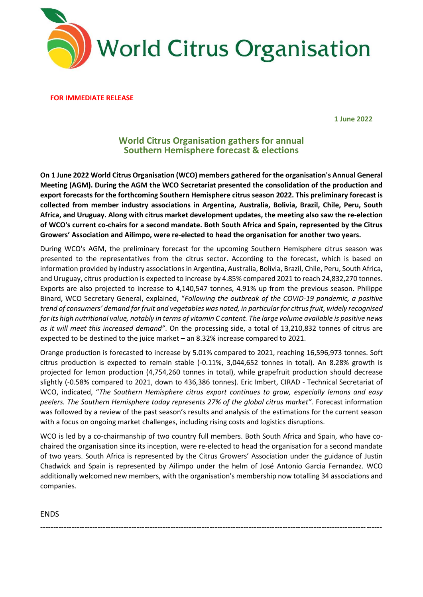

**FOR IMMEDIATE RELEASE** 

**1 June 2022**

## **World Citrus Organisation gathers for annual Southern Hemisphere forecast & elections**

**On 1 June 2022 World Citrus Organisation (WCO) members gathered for the organisation's Annual General Meeting (AGM). During the AGM the WCO Secretariat presented the consolidation of the production and export forecasts for the forthcoming Southern Hemisphere citrus season 2022. This preliminary forecast is collected from member industry associations in Argentina, Australia, Bolivia, Brazil, Chile, Peru, South Africa, and Uruguay. Along with citrus market development updates, the meeting also saw the re-election of WCO's current co-chairs for a second mandate. Both South Africa and Spain, represented by the Citrus Growers' Association and Ailimpo, were re-elected to head the organisation for another two years.** 

During WCO's AGM, the preliminary forecast for the upcoming Southern Hemisphere citrus season was presented to the representatives from the citrus sector. According to the forecast, which is based on information provided by industry associations in Argentina, Australia, Bolivia, Brazil, Chile, Peru, South Africa, and Uruguay, citrus production is expected to increase by 4.85% compared 2021 to reach 24,832,270 tonnes. Exports are also projected to increase to 4,140,547 tonnes, 4.91% up from the previous season. Philippe Binard, WCO Secretary General, explained, "*Following the outbreak of the COVID-19 pandemic, a positive trend of consumers' demand for fruit and vegetables was noted, in particular for citrus fruit, widely recognised for its high nutritional value, notably in terms of vitamin C content. The large volume available is positive news as it will meet this increased demand"*. On the processing side, a total of 13,210,832 tonnes of citrus are expected to be destined to the juice market – an 8.32% increase compared to 2021.

Orange production is forecasted to increase by 5.01% compared to 2021, reaching 16,596,973 tonnes. Soft citrus production is expected to remain stable (-0.11%, 3,044,652 tonnes in total). An 8.28% growth is projected for lemon production (4,754,260 tonnes in total), while grapefruit production should decrease slightly (-0.58% compared to 2021, down to 436,386 tonnes). Eric Imbert, CIRAD - Technical Secretariat of WCO, indicated, "*The Southern Hemisphere citrus export continues to grow, especially lemons and easy peelers. The Southern Hemisphere today represents 27% of the global citrus market".* Forecast information was followed by a review of the past season's results and analysis of the estimations for the current season with a focus on ongoing market challenges, including rising costs and logistics disruptions.

WCO is led by a co-chairmanship of two country full members. Both South Africa and Spain, who have cochaired the organisation since its inception, were re-elected to head the organisation for a second mandate of two years. South Africa is represented by the Citrus Growers' Association under the guidance of Justin Chadwick and Spain is represented by Ailimpo under the helm of José Antonio Garcia Fernandez. WCO additionally welcomed new members, with the organisation's membership now totalling 34 associations and companies.

-----------------------------------------------------------------------------------------------------------------------------------

ENDS